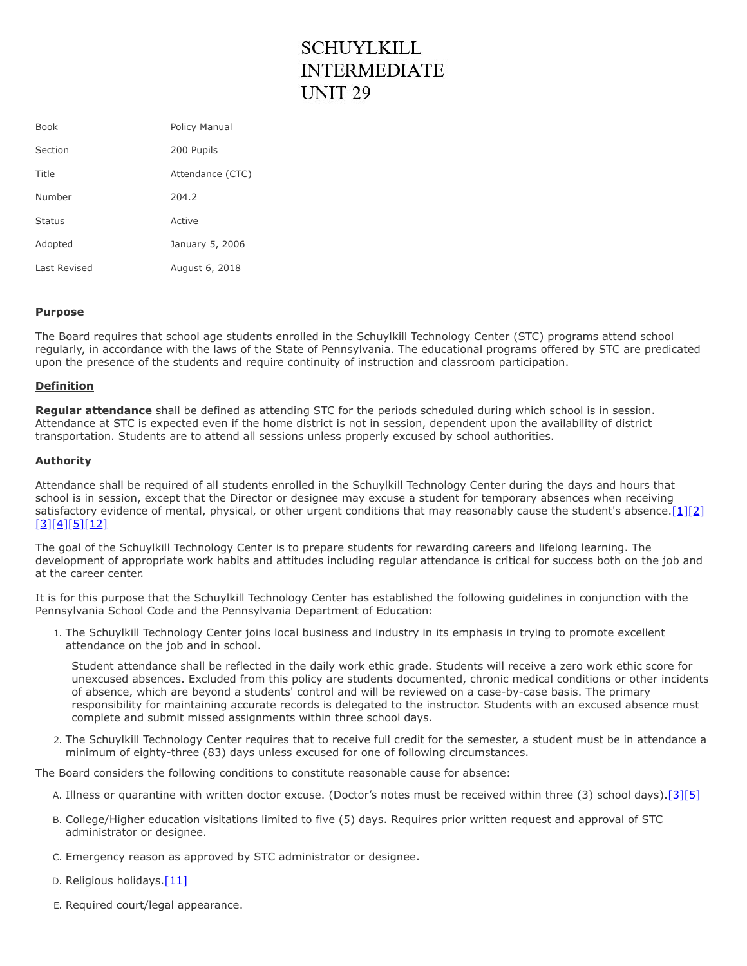## **SCHUYLKILL INTERMEDIATE UNIT 29**

| <b>Book</b>   | <b>Policy Manual</b> |
|---------------|----------------------|
| Section       | 200 Pupils           |
| Title         | Attendance (CTC)     |
| Number        | 204.2                |
| <b>Status</b> | Active               |
| Adopted       | January 5, 2006      |
| Last Revised  | August 6, 2018       |

## **Purpose**

The Board requires that school age students enrolled in the Schuylkill Technology Center (STC) programs attend school regularly, in accordance with the laws of the State of Pennsylvania. The educational programs offered by STC are predicated upon the presence of the students and require continuity of instruction and classroom participation.

## **Definition**

**Regular attendance** shall be defined as attending STC for the periods scheduled during which school is in session. Attendance at STC is expected even if the home district is not in session, dependent upon the availability of district transportation. Students are to attend all sessions unless properly excused by school authorities.

## **Authority**

Attendance shall be required of all students enrolled in the Schuylkill Technology Center during the days and hours that school is in session, except that the Director or designee may excuse a student for temporary absences when receiving satisfactory evidence of mental, physical, or other urgent conditions that may reasonably cause the student's absence[.\[1\]](http://www.pacode.com/secure/data/022/chapter12/s12.1.html)[\[2\]](http://www.legis.state.pa.us/cfdocs/legis/LI/uconsCheck.cfm?txtType=HTM&yr=1949&sessInd=0&smthLwInd=0&act=14&chpt=13&sctn=27&subsctn=0) [\[3\]](http://www.legis.state.pa.us/cfdocs/legis/LI/uconsCheck.cfm?txtType=HTM&yr=1949&sessInd=0&smthLwInd=0&act=14&chpt=13&sctn=29&subsctn=0)[\[4\]](http://www.pacode.com/secure/data/022/chapter11/s11.23.html)[\[5\]](http://www.pacode.com/secure/data/022/chapter11/s11.25.html)[\[12\]](http://www.legis.state.pa.us/cfdocs/legis/LI/uconsCheck.cfm?txtType=HTM&yr=1949&sessInd=0&smthLwInd=0&act=14&chpt=13&sctn=30&subsctn=0)

The goal of the Schuylkill Technology Center is to prepare students for rewarding careers and lifelong learning. The development of appropriate work habits and attitudes including regular attendance is critical for success both on the job and at the career center.

It is for this purpose that the Schuylkill Technology Center has established the following guidelines in conjunction with the Pennsylvania School Code and the Pennsylvania Department of Education:

1. The Schuylkill Technology Center joins local business and industry in its emphasis in trying to promote excellent attendance on the job and in school.

Student attendance shall be reflected in the daily work ethic grade. Students will receive a zero work ethic score for unexcused absences. Excluded from this policy are students documented, chronic medical conditions or other incidents of absence, which are beyond a students' control and will be reviewed on a case-by-case basis. The primary responsibility for maintaining accurate records is delegated to the instructor. Students with an excused absence must complete and submit missed assignments within three school days.

2. The Schuylkill Technology Center requires that to receive full credit for the semester, a student must be in attendance a minimum of eighty-three (83) days unless excused for one of following circumstances.

The Board considers the following conditions to constitute reasonable cause for absence:

- A. Illness or quarantine with written doctor excuse. (Doctor's notes must be received within three (3) school days)[.\[3\]](http://www.legis.state.pa.us/cfdocs/legis/LI/uconsCheck.cfm?txtType=HTM&yr=1949&sessInd=0&smthLwInd=0&act=14&chpt=13&sctn=29&subsctn=0)[\[5\]](http://www.pacode.com/secure/data/022/chapter11/s11.25.html)
- B. College/Higher education visitations limited to five (5) days. Requires prior written request and approval of STC administrator or designee.
- C. Emergency reason as approved by STC administrator or designee.
- D. Religious holidays. $[11]$
- E. Required court/legal appearance.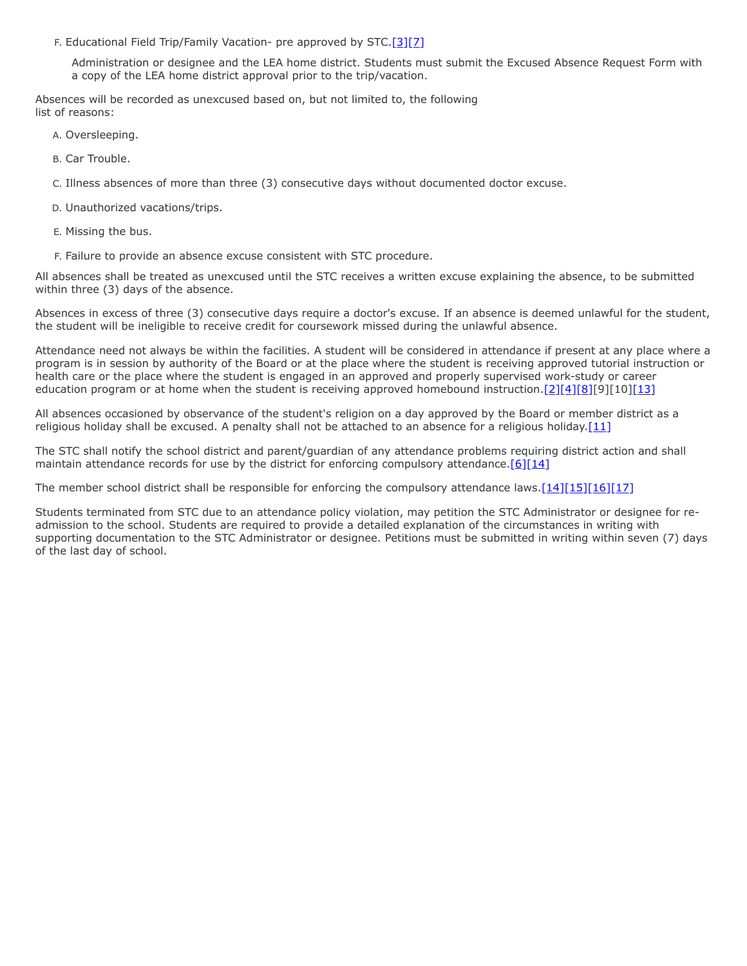F. Educational Field Trip/Family Vacation- pre approved by STC.[\[3\]](http://www.legis.state.pa.us/cfdocs/legis/LI/uconsCheck.cfm?txtType=HTM&yr=1949&sessInd=0&smthLwInd=0&act=14&chpt=13&sctn=29&subsctn=0)[\[7\]](http://www.pacode.com/secure/data/022/chapter11/s11.26.html)

Administration or designee and the LEA home district. Students must submit the Excused Absence Request Form with a copy of the LEA home district approval prior to the trip/vacation.

Absences will be recorded as unexcused based on, but not limited to, the following list of reasons:

A. Oversleeping.

B. Car Trouble.

C. Illness absences of more than three (3) consecutive days without documented doctor excuse.

D. Unauthorized vacations/trips.

- E. Missing the bus.
- F. Failure to provide an absence excuse consistent with STC procedure.

All absences shall be treated as unexcused until the STC receives a written excuse explaining the absence, to be submitted within three (3) days of the absence.

Absences in excess of three (3) consecutive days require a doctor's excuse. If an absence is deemed unlawful for the student, the student will be ineligible to receive credit for coursework missed during the unlawful absence.

Attendance need not always be within the facilities. A student will be considered in attendance if present at any place where a program is in session by authority of the Board or at the place where the student is receiving approved tutorial instruction or health care or the place where the student is engaged in an approved and properly supervised work-study or career education program or at home when the student is receiving approved homebound instruction.[\[2\]](http://www.legis.state.pa.us/cfdocs/legis/LI/uconsCheck.cfm?txtType=HTM&yr=1949&sessInd=0&smthLwInd=0&act=14&chpt=13&sctn=27&subsctn=0)[\[4\]](http://www.pacode.com/secure/data/022/chapter11/s11.23.html)[\[8\]\[](http://www.pacode.com/secure/data/022/chapter11/s11.28.html)9][10][\[13\]](http://www.pacode.com/secure/data/022/chapter11/s11.8.html)

All absences occasioned by observance of the student's religion on a day approved by the Board or member district as a religious holiday shall be excused. A penalty shall not be attached to an absence for a religious holiday.[\[11\]](http://www.pacode.com/secure/data/022/chapter11/s11.21.html)

The STC shall notify the school district and parent/guardian of any attendance problems requiring district action and shall maintain attendance records for use by the district for enforcing compulsory attendance.[\[6\]](http://www.pacode.com/secure/data/022/chapter11/s11.41.html)[\[14\]](http://www.legis.state.pa.us/cfdocs/legis/LI/uconsCheck.cfm?txtType=HTM&yr=1949&sessInd=0&smthLwInd=0&act=14&chpt=13&sctn=32&subsctn=0)

The member school district shall be responsible for enforcing the compulsory attendance laws[.\[14\]](http://www.legis.state.pa.us/cfdocs/legis/LI/uconsCheck.cfm?txtType=HTM&yr=1949&sessInd=0&smthLwInd=0&act=14&chpt=13&sctn=32&subsctn=0)[\[15\]](http://www.legis.state.pa.us/cfdocs/legis/LI/uconsCheck.cfm?txtType=HTM&yr=1949&sessInd=0&smthLwInd=0&act=14&chpt=13&sctn=26&subsctn=0)[\[16\]](http://www.legis.state.pa.us/cfdocs/legis/LI/uconsCheck.cfm?txtType=HTM&yr=1949&sessInd=0&smthLwInd=0&act=14&chpt=13&sctn=33&subsctn=0)[\[17\]](http://www.legis.state.pa.us/cfdocs/legis/LI/uconsCheck.cfm?txtType=HTM&yr=1949&sessInd=0&smthLwInd=0&act=14&chpt=13&sctn=33&subsctn=1)

Students terminated from STC due to an attendance policy violation, may petition the STC Administrator or designee for readmission to the school. Students are required to provide a detailed explanation of the circumstances in writing with supporting documentation to the STC Administrator or designee. Petitions must be submitted in writing within seven (7) days of the last day of school.